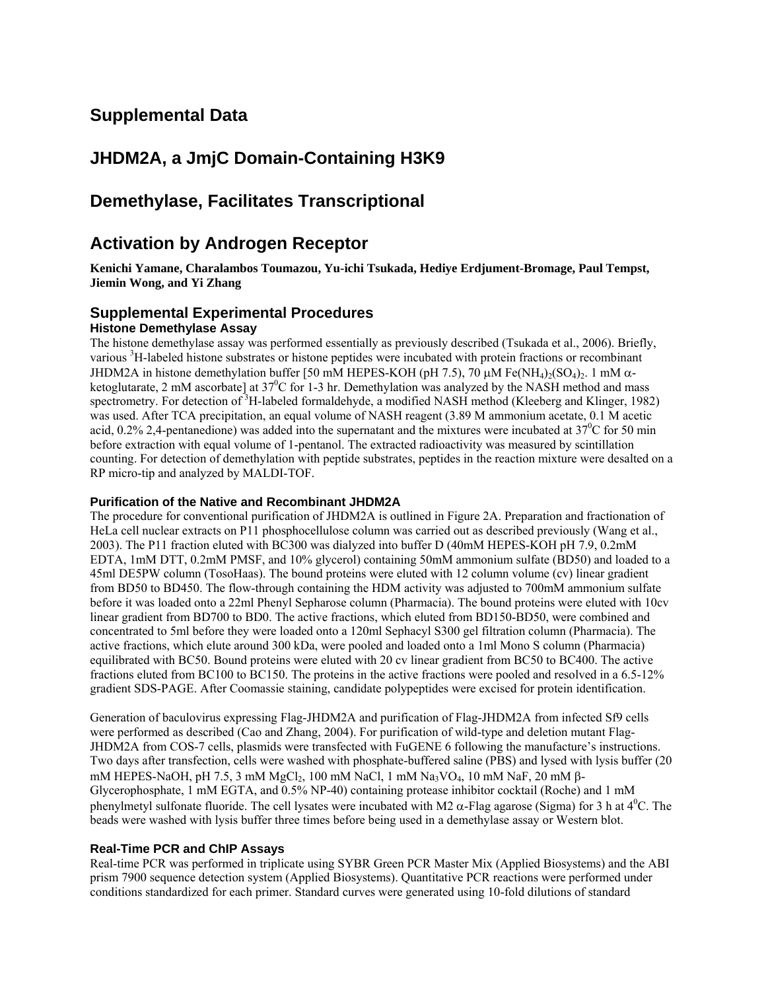# **Supplemental Data**

# **JHDM2A, a JmjC Domain-Containing H3K9**

# **Demethylase, Facilitates Transcriptional**

## **Activation by Androgen Receptor**

**Kenichi Yamane, Charalambos Toumazou, Yu-ichi Tsukada, Hediye Erdjument-Bromage, Paul Tempst, Jiemin Wong, and Yi Zhang** 

## **Supplemental Experimental Procedures**

## **Histone Demethylase Assay**

The histone demethylase assay was performed essentially as previously described (Tsukada et al., 2006). Briefly, various <sup>3</sup>H-labeled histone substrates or histone peptides were incubated with protein fractions or recombinant JHDM2A in histone demethylation buffer [50 mM HEPES-KOH (pH 7.5), 70  $\mu$ M Fe(NH<sub>4</sub>)<sub>2</sub>(SO<sub>4</sub>)<sub>2</sub>. 1 mM  $\alpha$ ketoglutarate, 2 mM ascorbate] at  $37^{\circ}$ C for 1-3 hr. Demethylation was analyzed by the NASH method and mass spectrometry. For detection of <sup>3</sup>H-labeled formaldehyde, a modified NASH method (Kleeberg and Klinger, 1982) was used. After TCA precipitation, an equal volume of NASH reagent (3.89 M ammonium acetate, 0.1 M acetic acid, 0.2% 2,4-pentanedione) was added into the supernatant and the mixtures were incubated at  $37^{\circ}$ C for 50 min before extraction with equal volume of 1-pentanol. The extracted radioactivity was measured by scintillation counting. For detection of demethylation with peptide substrates, peptides in the reaction mixture were desalted on a RP micro-tip and analyzed by MALDI-TOF.

### **Purification of the Native and Recombinant JHDM2A**

The procedure for conventional purification of JHDM2A is outlined in Figure 2A. Preparation and fractionation of HeLa cell nuclear extracts on P11 phosphocellulose column was carried out as described previously (Wang et al., 2003). The P11 fraction eluted with BC300 was dialyzed into buffer D (40mM HEPES-KOH pH 7.9, 0.2mM EDTA, 1mM DTT, 0.2mM PMSF, and 10% glycerol) containing 50mM ammonium sulfate (BD50) and loaded to a 45ml DE5PW column (TosoHaas). The bound proteins were eluted with 12 column volume (cv) linear gradient from BD50 to BD450. The flow-through containing the HDM activity was adjusted to 700mM ammonium sulfate before it was loaded onto a 22ml Phenyl Sepharose column (Pharmacia). The bound proteins were eluted with 10cv linear gradient from BD700 to BD0. The active fractions, which eluted from BD150-BD50, were combined and concentrated to 5ml before they were loaded onto a 120ml Sephacyl S300 gel filtration column (Pharmacia). The active fractions, which elute around 300 kDa, were pooled and loaded onto a 1ml Mono S column (Pharmacia) equilibrated with BC50. Bound proteins were eluted with 20 cv linear gradient from BC50 to BC400. The active fractions eluted from BC100 to BC150. The proteins in the active fractions were pooled and resolved in a 6.5-12% gradient SDS-PAGE. After Coomassie staining, candidate polypeptides were excised for protein identification.

Generation of baculovirus expressing Flag-JHDM2A and purification of Flag-JHDM2A from infected Sf9 cells were performed as described (Cao and Zhang, 2004). For purification of wild-type and deletion mutant Flag-JHDM2A from COS-7 cells, plasmids were transfected with FuGENE 6 following the manufacture's instructions. Two days after transfection, cells were washed with phosphate-buffered saline (PBS) and lysed with lysis buffer (20 mM HEPES-NaOH, pH 7.5, 3 mM MgCl<sub>2</sub>, 100 mM NaCl, 1 mM Na<sub>3</sub>VO<sub>4</sub>, 10 mM NaF, 20 mM  $\beta$ -Glycerophosphate, 1 mM EGTA, and 0.5% NP-40) containing protease inhibitor cocktail (Roche) and 1 mM phenylmetyl sulfonate fluoride. The cell lysates were incubated with M2  $\alpha$ -Flag agarose (Sigma) for 3 h at  $4^{\circ}$ C. The beads were washed with lysis buffer three times before being used in a demethylase assay or Western blot.

### **Real-Time PCR and ChIP Assays**

Real-time PCR was performed in triplicate using SYBR Green PCR Master Mix (Applied Biosystems) and the ABI prism 7900 sequence detection system (Applied Biosystems). Quantitative PCR reactions were performed under conditions standardized for each primer. Standard curves were generated using 10-fold dilutions of standard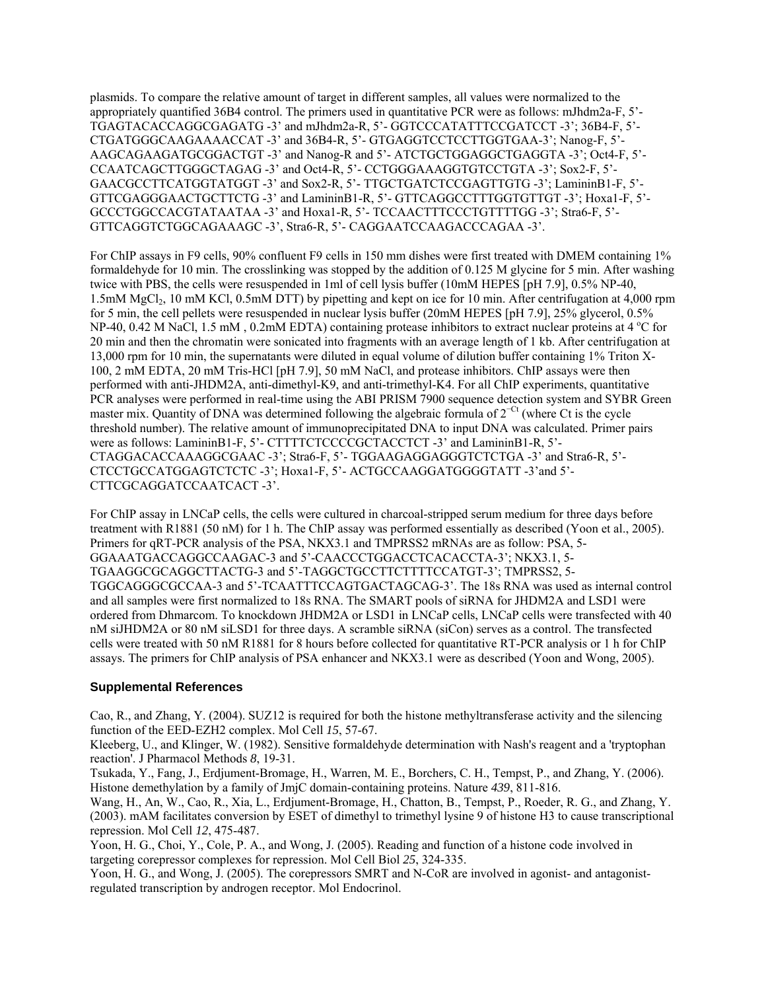plasmids. To compare the relative amount of target in different samples, all values were normalized to the appropriately quantified 36B4 control. The primers used in quantitative PCR were as follows: mJhdm2a-F, 5'- TGAGTACACCAGGCGAGATG -3' and mJhdm2a-R, 5'- GGTCCCATATTTCCGATCCT -3'; 36B4-F, 5'- CTGATGGGCAAGAAAACCAT -3' and 36B4-R, 5'- GTGAGGTCCTCCTTGGTGAA-3'; Nanog-F, 5'- AAGCAGAAGATGCGGACTGT -3' and Nanog-R and 5'- ATCTGCTGGAGGCTGAGGTA -3'; Oct4-F, 5'- CCAATCAGCTTGGGCTAGAG -3' and Oct4-R, 5'- CCTGGGAAAGGTGTCCTGTA -3'; Sox2-F, 5'- GAACGCCTTCATGGTATGGT -3' and Sox2-R, 5'- TTGCTGATCTCCGAGTTGTG -3'; LamininB1-F, 5'- GTTCGAGGGAACTGCTTCTG -3' and LamininB1-R, 5'- GTTCAGGCCTTTGGTGTTGT -3'; Hoxa1-F, 5'- GCCCTGGCCACGTATAATAA -3' and Hoxa1-R, 5'- TCCAACTTTCCCTGTTTTGG -3'; Stra6-F, 5'- GTTCAGGTCTGGCAGAAAGC -3', Stra6-R, 5'- CAGGAATCCAAGACCCAGAA -3'.

For ChIP assays in F9 cells, 90% confluent F9 cells in 150 mm dishes were first treated with DMEM containing 1% formaldehyde for 10 min. The crosslinking was stopped by the addition of 0.125 M glycine for 5 min. After washing twice with PBS, the cells were resuspended in 1ml of cell lysis buffer (10mM HEPES [pH 7.9], 0.5% NP-40, 1.5mM MgCl<sub>2</sub>, 10 mM KCl, 0.5mM DTT) by pipetting and kept on ice for 10 min. After centrifugation at 4,000 rpm for 5 min, the cell pellets were resuspended in nuclear lysis buffer (20mM HEPES [pH 7.9], 25% glycerol, 0.5% NP-40, 0.42 M NaCl, 1.5 mM, 0.2mM EDTA) containing protease inhibitors to extract nuclear proteins at 4 °C for 20 min and then the chromatin were sonicated into fragments with an average length of 1 kb. After centrifugation at 13,000 rpm for 10 min, the supernatants were diluted in equal volume of dilution buffer containing 1% Triton X-100, 2 mM EDTA, 20 mM Tris-HCl [pH 7.9], 50 mM NaCl, and protease inhibitors. ChIP assays were then performed with anti-JHDM2A, anti-dimethyl-K9, and anti-trimethyl-K4. For all ChIP experiments, quantitative PCR analyses were performed in real-time using the ABI PRISM 7900 sequence detection system and SYBR Green master mix. Quantity of DNA was determined following the algebraic formula of 2<sup>−</sup>Ct (where Ct is the cycle threshold number). The relative amount of immunoprecipitated DNA to input DNA was calculated. Primer pairs were as follows: LamininB1-F, 5'- CTTTTCTCCCCGCTACCTCT -3' and LamininB1-R, 5'-CTAGGACACCAAAGGCGAAC -3'; Stra6-F, 5'- TGGAAGAGGAGGGTCTCTGA -3' and Stra6-R, 5'- CTCCTGCCATGGAGTCTCTC -3'; Hoxa1-F, 5'- ACTGCCAAGGATGGGGTATT -3'and 5'- CTTCGCAGGATCCAATCACT -3'.

For ChIP assay in LNCaP cells, the cells were cultured in charcoal-stripped serum medium for three days before treatment with R1881 (50 nM) for 1 h. The ChIP assay was performed essentially as described (Yoon et al., 2005). Primers for qRT-PCR analysis of the PSA, NKX3.1 and TMPRSS2 mRNAs are as follow: PSA, 5- GGAAATGACCAGGCCAAGAC-3 and 5'-CAACCCTGGACCTCACACCTA-3'; NKX3.1, 5- TGAAGGCGCAGGCTTACTG-3 and 5'-TAGGCTGCCTTCTTTTCCATGT-3'; TMPRSS2, 5- TGGCAGGGCGCCAA-3 and 5'-TCAATTTCCAGTGACTAGCAG-3'. The 18s RNA was used as internal control and all samples were first normalized to 18s RNA. The SMART pools of siRNA for JHDM2A and LSD1 were ordered from Dhmarcom. To knockdown JHDM2A or LSD1 in LNCaP cells, LNCaP cells were transfected with 40 nM siJHDM2A or 80 nM siLSD1 for three days. A scramble siRNA (siCon) serves as a control. The transfected cells were treated with 50 nM R1881 for 8 hours before collected for quantitative RT-PCR analysis or 1 h for ChIP assays. The primers for ChIP analysis of PSA enhancer and NKX3.1 were as described (Yoon and Wong, 2005).

### **Supplemental References**

Cao, R., and Zhang, Y. (2004). SUZ12 is required for both the histone methyltransferase activity and the silencing function of the EED-EZH2 complex. Mol Cell *15*, 57-67.

Kleeberg, U., and Klinger, W. (1982). Sensitive formaldehyde determination with Nash's reagent and a 'tryptophan reaction'. J Pharmacol Methods *8*, 19-31.

Tsukada, Y., Fang, J., Erdjument-Bromage, H., Warren, M. E., Borchers, C. H., Tempst, P., and Zhang, Y. (2006). Histone demethylation by a family of JmjC domain-containing proteins. Nature *439*, 811-816.

Wang, H., An, W., Cao, R., Xia, L., Erdjument-Bromage, H., Chatton, B., Tempst, P., Roeder, R. G., and Zhang, Y. (2003). mAM facilitates conversion by ESET of dimethyl to trimethyl lysine 9 of histone H3 to cause transcriptional repression. Mol Cell *12*, 475-487.

Yoon, H. G., Choi, Y., Cole, P. A., and Wong, J. (2005). Reading and function of a histone code involved in targeting corepressor complexes for repression. Mol Cell Biol *25*, 324-335.

Yoon, H. G., and Wong, J. (2005). The corepressors SMRT and N-CoR are involved in agonist- and antagonistregulated transcription by androgen receptor. Mol Endocrinol.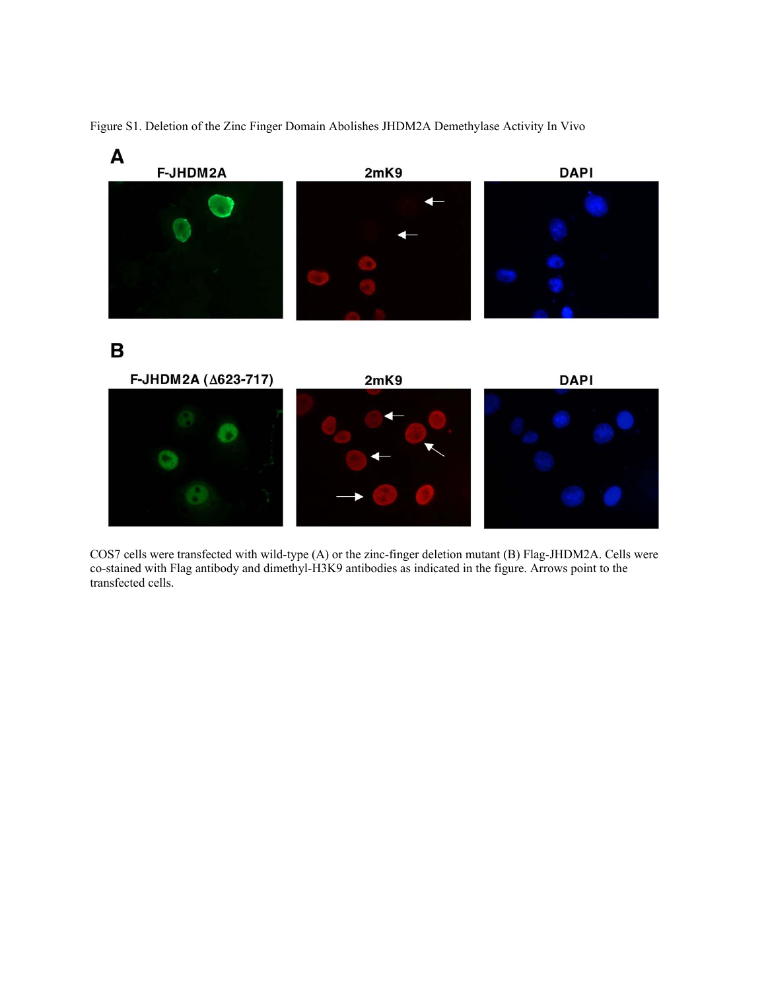

Figure S1. Deletion of the Zinc Finger Domain Abolishes JHDM2A Demethylase Activity In Vivo

COS7 cells were transfected with wild-type (A) or the zinc-finger deletion mutant (B) Flag-JHDM2A. Cells were co-stained with Flag antibody and dimethyl-H3K9 antibodies as indicated in the figure. Arrows point to the transfected cells.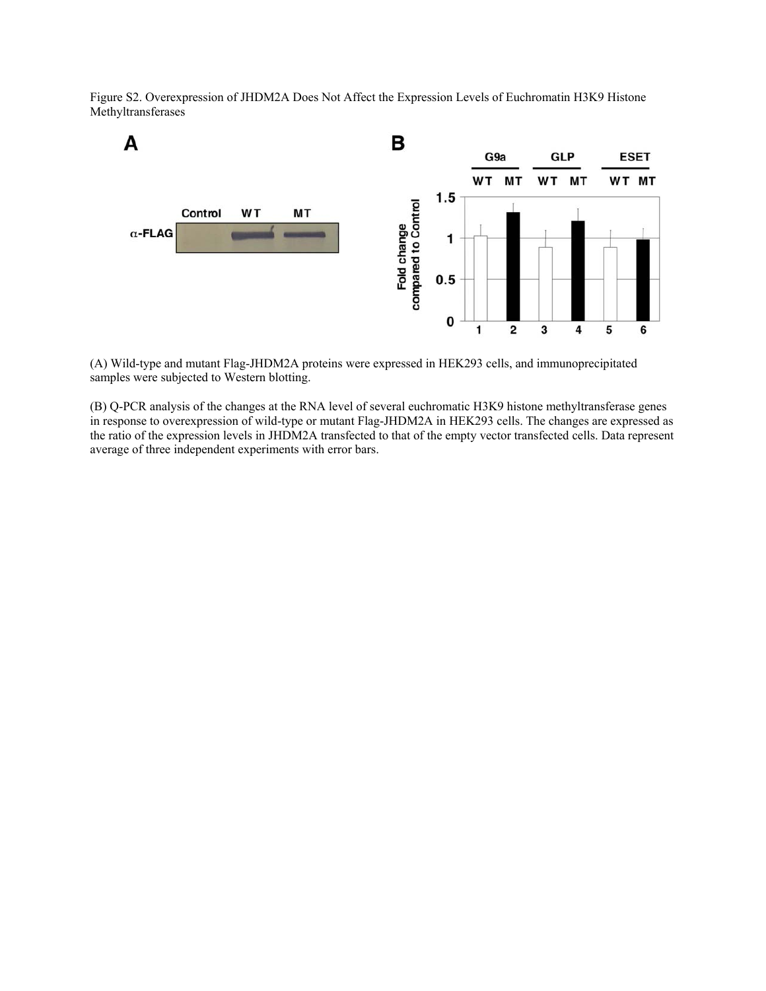Figure S2. Overexpression of JHDM2A Does Not Affect the Expression Levels of Euchromatin H3K9 Histone Methyltransferases



(A) Wild-type and mutant Flag-JHDM2A proteins were expressed in HEK293 cells, and immunoprecipitated samples were subjected to Western blotting.

(B) Q-PCR analysis of the changes at the RNA level of several euchromatic H3K9 histone methyltransferase genes in response to overexpression of wild-type or mutant Flag-JHDM2A in HEK293 cells. The changes are expressed as the ratio of the expression levels in JHDM2A transfected to that of the empty vector transfected cells. Data represent average of three independent experiments with error bars.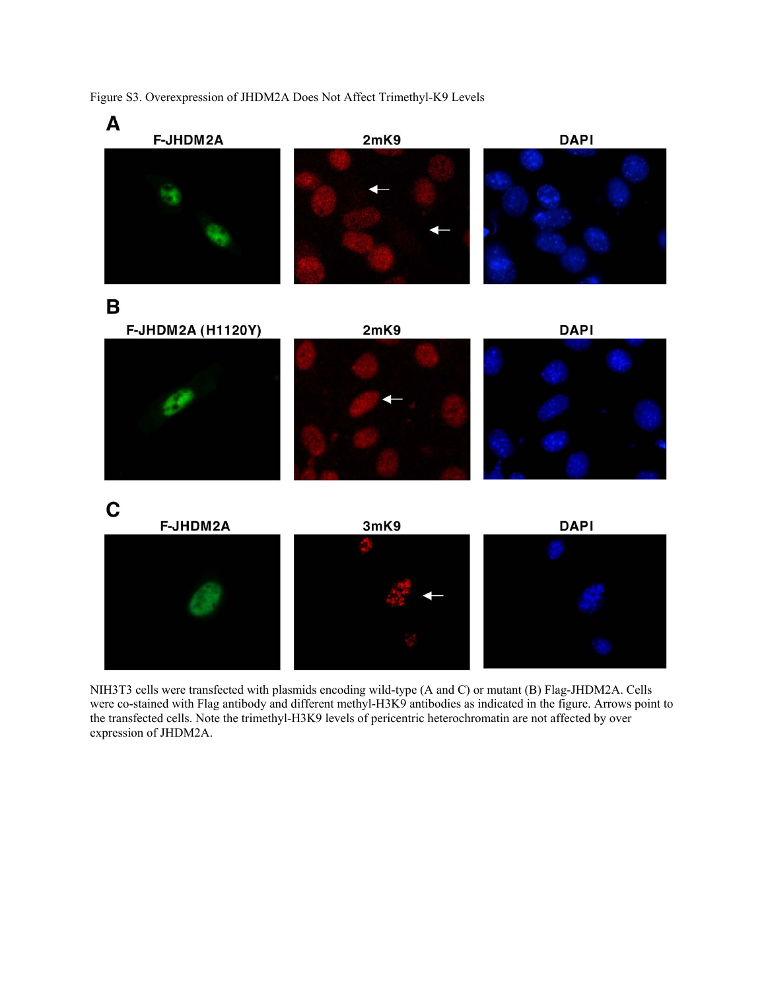Figure S3. Overexpression of JHDM2A Does Not Affect Trimethyl-K9 Levels



NIH3T3 cells were transfected with plasmids encoding wild-type (A and C) or mutant (B) Flag-JHDM2A. Cells were co-stained with Flag antibody and different methyl-H3K9 antibodies as indicated in the figure. Arrows point to the transfected cells. Note the trimethyl-H3K9 levels of pericentric heterochromatin are not affected by over expression of JHDM2A.